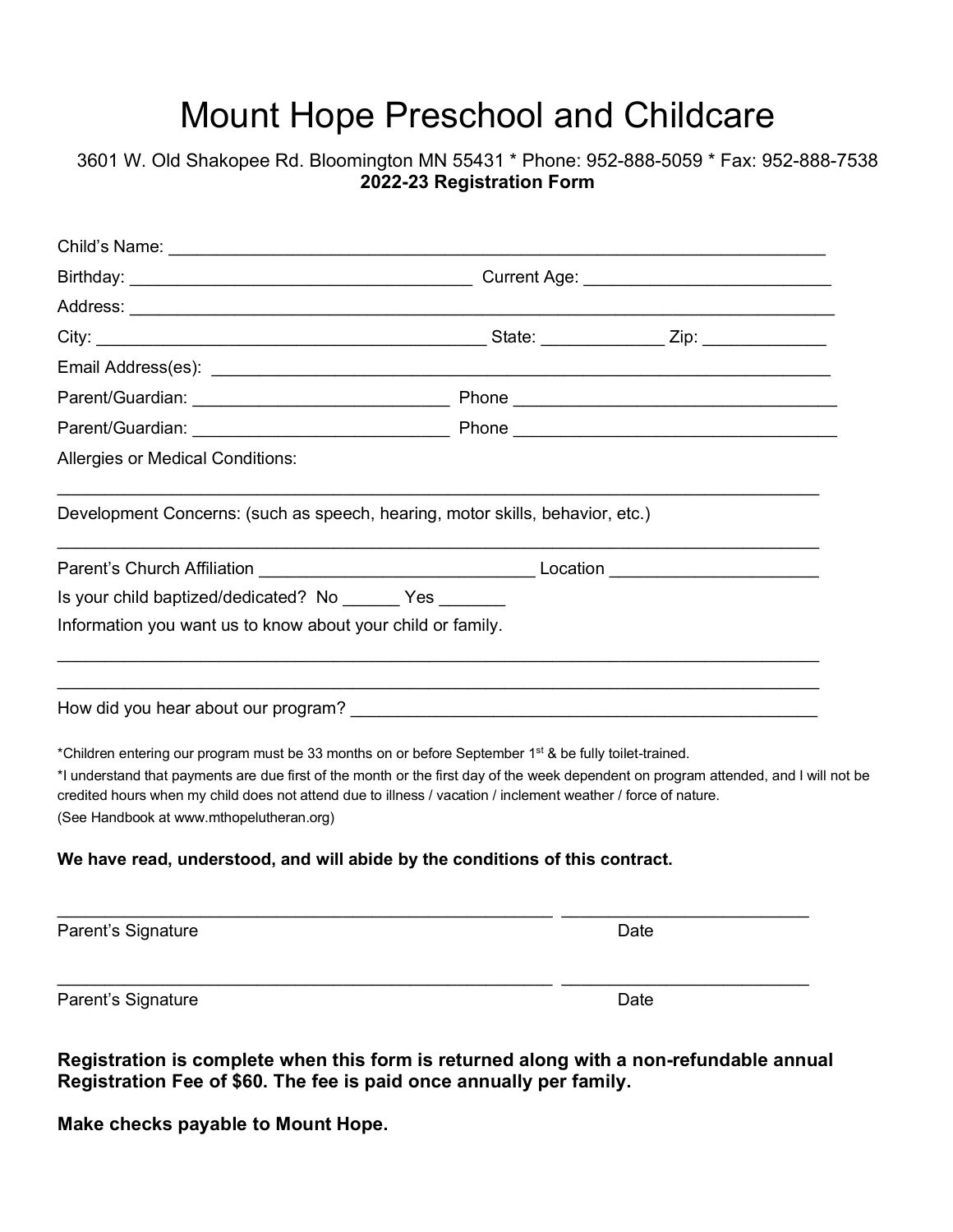# Mount Hope Preschool and Childcare

### 3601 W. Old Shakopee Rd. Bloomington MN 55431 \* Phone: 952-888-5059 \* Fax: 952-888-7538 **2022-23 Registration Form**

| Email Address(es): The contract of the contract of the contract of the contract of the contract of the contract of the contract of the contract of the contract of the contract of the contract of the contract of the contrac                                                                                                                                                                                          |      |
|-------------------------------------------------------------------------------------------------------------------------------------------------------------------------------------------------------------------------------------------------------------------------------------------------------------------------------------------------------------------------------------------------------------------------|------|
|                                                                                                                                                                                                                                                                                                                                                                                                                         |      |
|                                                                                                                                                                                                                                                                                                                                                                                                                         |      |
| <b>Allergies or Medical Conditions:</b>                                                                                                                                                                                                                                                                                                                                                                                 |      |
| Development Concerns: (such as speech, hearing, motor skills, behavior, etc.)                                                                                                                                                                                                                                                                                                                                           |      |
| Parent's Church Affiliation <b>Accord Contract Contract Contract Contract Contract Contract Contract Contract Contract Contract Contract Contract Contract Contract Contract Contract Contract Contract Contract Contract Contra</b>                                                                                                                                                                                    |      |
| Is your child baptized/dedicated? No Yes                                                                                                                                                                                                                                                                                                                                                                                |      |
| Information you want us to know about your child or family.                                                                                                                                                                                                                                                                                                                                                             |      |
| How did you hear about our program? The state of the state of the state of the state of the state of the state of the state of the state of the state of the state of the state of the state of the state of the state of the                                                                                                                                                                                           |      |
| *Children entering our program must be 33 months on or before September 1 <sup>st</sup> & be fully toilet-trained.<br>*I understand that payments are due first of the month or the first day of the week dependent on program attended, and I will not be<br>credited hours when my child does not attend due to illness / vacation / inclement weather / force of nature.<br>(See Handbook at www.mthopelutheran.org) |      |
| We have read, understood, and will abide by the conditions of this contract.                                                                                                                                                                                                                                                                                                                                            |      |
| Parent's Signature                                                                                                                                                                                                                                                                                                                                                                                                      | Date |
| Parent's Signature                                                                                                                                                                                                                                                                                                                                                                                                      | Date |

**Registration is complete when this form is returned along with a non-refundable annual Registration Fee of \$60. The fee is paid once annually per family.**

**Make checks payable to Mount Hope.**